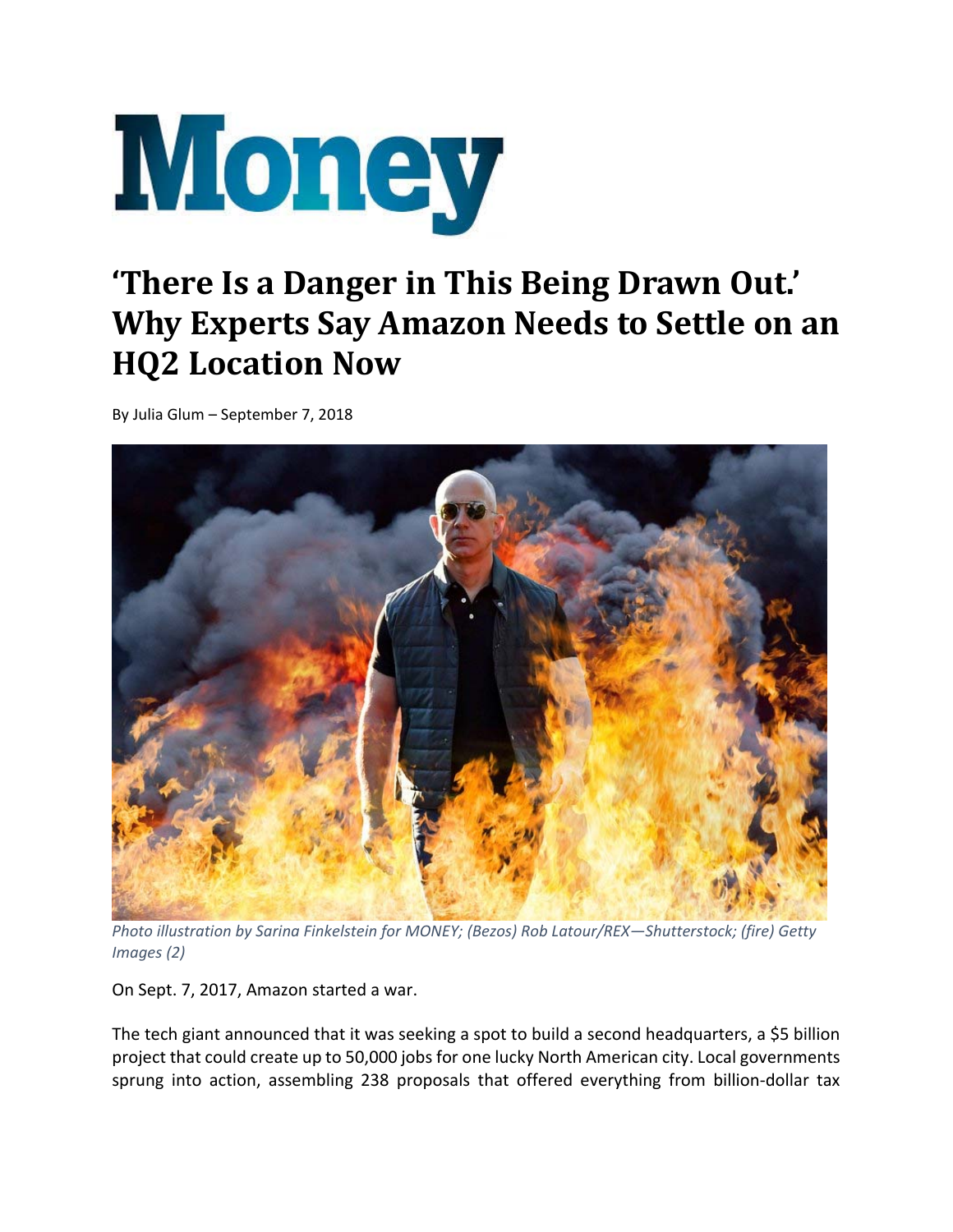

## **'There Is a Danger in This Being Drawn Out.' Why Experts Say Amazon Needs to Settle on an HQ2 Location Now**

By Julia Glum – September 7, 2018



*Photo illustration by Sarina Finkelstein for MONEY; (Bezos) Rob Latour/REX—Shutterstock; (fire) Getty Images (2)*

On Sept. 7, 2017, Amazon started a war.

The tech giant announced that it was seeking a spot to build a second headquarters, a \$5 billion project that could create up to 50,000 jobs for one lucky North American city. Local governments sprung into action, assembling 238 proposals that offered everything from billion-dollar tax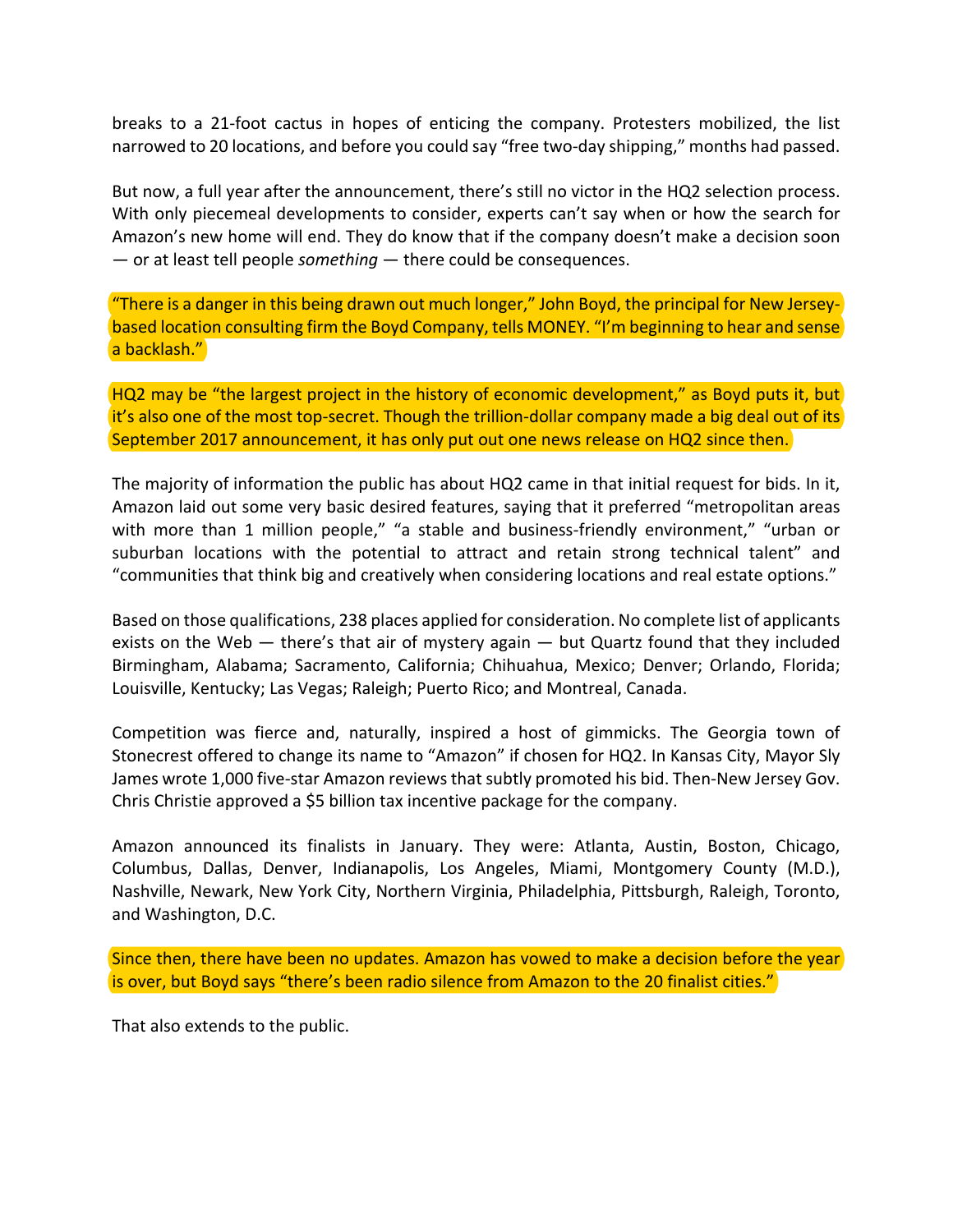breaks to a 21‐foot cactus in hopes of enticing the company. Protesters mobilized, the list narrowed to 20 locations, and before you could say "free two-day shipping," months had passed.

But now, a full year after the announcement, there's still no victor in the HQ2 selection process. With only piecemeal developments to consider, experts can't say when or how the search for Amazon's new home will end. They do know that if the company doesn't make a decision soon — or at least tell people *something* — there could be consequences.

"There is a danger in this being drawn out much longer," John Boyd, the principal for New Jersey‐ based location consulting firm the Boyd Company, tells MONEY. "I'm beginning to hear and sense a backlash."

HQ2 may be "the largest project in the history of economic development," as Boyd puts it, but it's also one of the most top-secret. Though the trillion-dollar company made a big deal out of its September 2017 announcement, it has only put out one news release on HQ2 since then.

The majority of information the public has about HQ2 came in that initial request for bids. In it, Amazon laid out some very basic desired features, saying that it preferred "metropolitan areas with more than 1 million people," "a stable and business-friendly environment," "urban or suburban locations with the potential to attract and retain strong technical talent" and "communities that think big and creatively when considering locations and real estate options."

Based on those qualifications, 238 places applied for consideration. No complete list of applicants exists on the Web — there's that air of mystery again — but Quartz found that they included Birmingham, Alabama; Sacramento, California; Chihuahua, Mexico; Denver; Orlando, Florida; Louisville, Kentucky; Las Vegas; Raleigh; Puerto Rico; and Montreal, Canada.

Competition was fierce and, naturally, inspired a host of gimmicks. The Georgia town of Stonecrest offered to change its name to "Amazon" if chosen for HQ2. In Kansas City, Mayor Sly James wrote 1,000 five-star Amazon reviews that subtly promoted his bid. Then-New Jersey Gov. Chris Christie approved a \$5 billion tax incentive package for the company.

Amazon announced its finalists in January. They were: Atlanta, Austin, Boston, Chicago, Columbus, Dallas, Denver, Indianapolis, Los Angeles, Miami, Montgomery County (M.D.), Nashville, Newark, New York City, Northern Virginia, Philadelphia, Pittsburgh, Raleigh, Toronto, and Washington, D.C.

Since then, there have been no updates. Amazon has vowed to make a decision before the year is over, but Boyd says "there's been radio silence from Amazon to the 20 finalist cities."

That also extends to the public.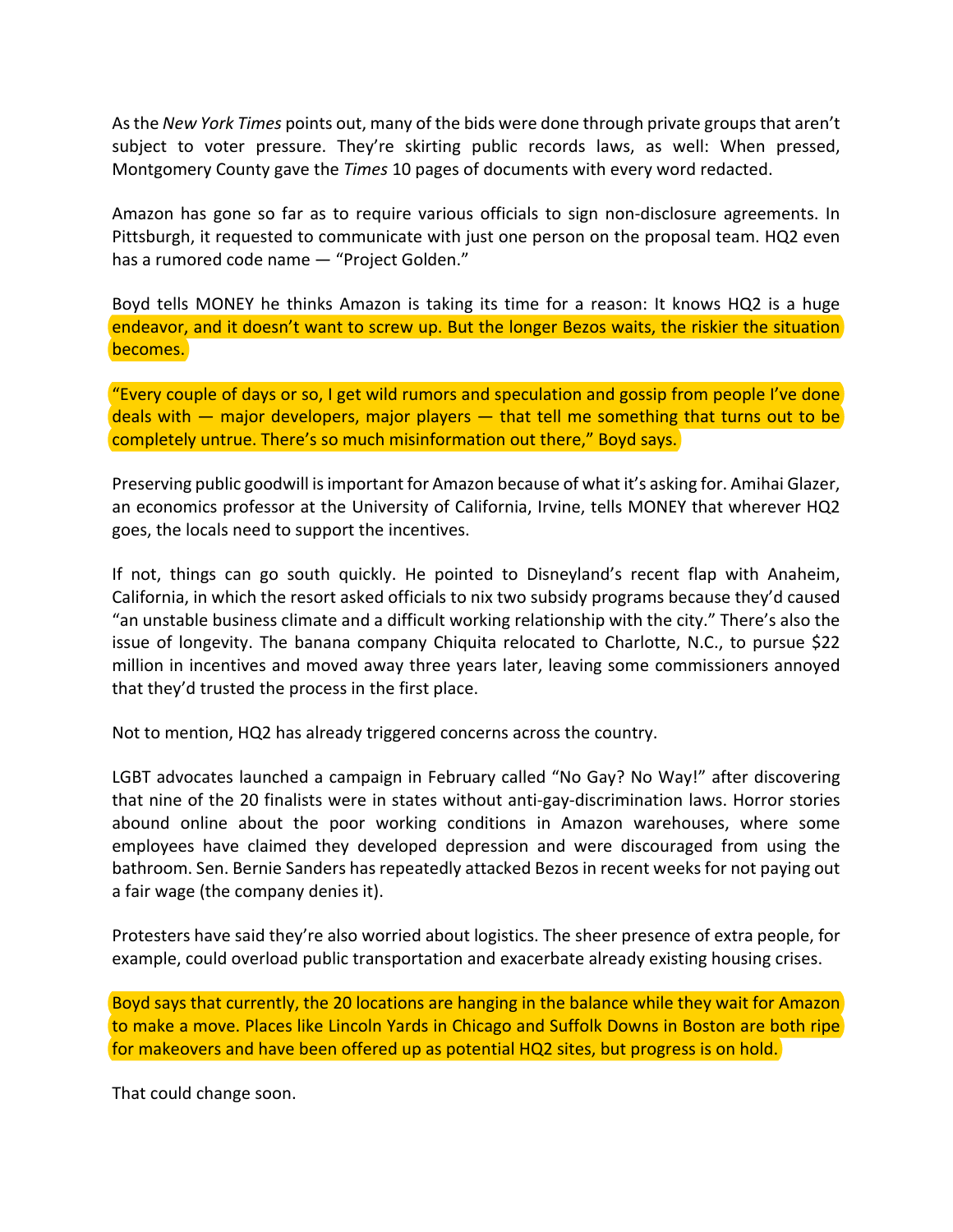Asthe *New York Times* points out, many of the bids were done through private groupsthat aren't subject to voter pressure. They're skirting public records laws, as well: When pressed, Montgomery County gave the *Times* 10 pages of documents with every word redacted.

Amazon has gone so far as to require various officials to sign non-disclosure agreements. In Pittsburgh, it requested to communicate with just one person on the proposal team. HQ2 even has a rumored code name — "Project Golden."

Boyd tells MONEY he thinks Amazon is taking its time for a reason: It knows HQ2 is a huge endeavor, and it doesn't want to screw up. But the longer Bezos waits, the riskier the situation becomes.

"Every couple of days or so, I get wild rumors and speculation and gossip from people I've done deals with  $-$  major developers, major players  $-$  that tell me something that turns out to be completely untrue. There's so much misinformation out there," Boyd says.

Preserving public goodwill isimportant for Amazon because of what it's asking for. Amihai Glazer, an economics professor at the University of California, Irvine, tells MONEY that wherever HQ2 goes, the locals need to support the incentives.

If not, things can go south quickly. He pointed to Disneyland's recent flap with Anaheim, California, in which the resort asked officials to nix two subsidy programs because they'd caused "an unstable business climate and a difficult working relationship with the city." There's also the issue of longevity. The banana company Chiquita relocated to Charlotte, N.C., to pursue \$22 million in incentives and moved away three years later, leaving some commissioners annoyed that they'd trusted the process in the first place.

Not to mention, HQ2 has already triggered concerns across the country.

LGBT advocates launched a campaign in February called "No Gay? No Way!" after discovering that nine of the 20 finalists were in states without anti‐gay‐discrimination laws. Horror stories abound online about the poor working conditions in Amazon warehouses, where some employees have claimed they developed depression and were discouraged from using the bathroom. Sen. Bernie Sanders has repeatedly attacked Bezos in recent weeks for not paying out a fair wage (the company denies it).

Protesters have said they're also worried about logistics. The sheer presence of extra people, for example, could overload public transportation and exacerbate already existing housing crises.

Boyd says that currently, the 20 locations are hanging in the balance while they wait for Amazon to make a move. Places like Lincoln Yards in Chicago and Suffolk Downs in Boston are both ripe for makeovers and have been offered up as potential HQ2 sites, but progress is on hold.

That could change soon.